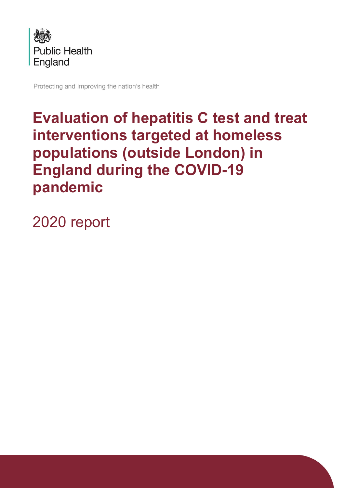

Protecting and improving the nation's health

# **Evaluation of hepatitis C test and treat interventions targeted at homeless populations (outside London) in England during the COVID-19 pandemic**

2020 report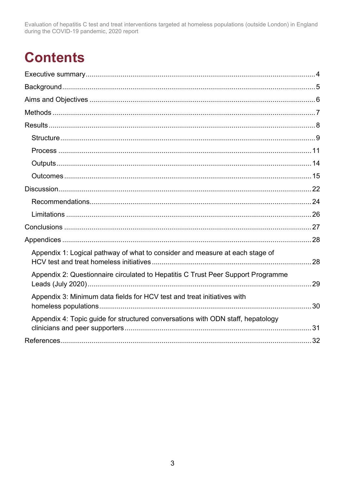# **Contents**

| Appendix 1: Logical pathway of what to consider and measure at each stage of     |  |
|----------------------------------------------------------------------------------|--|
| Appendix 2: Questionnaire circulated to Hepatitis C Trust Peer Support Programme |  |
| Appendix 3: Minimum data fields for HCV test and treat initiatives with          |  |
| Appendix 4: Topic guide for structured conversations with ODN staff, hepatology  |  |
|                                                                                  |  |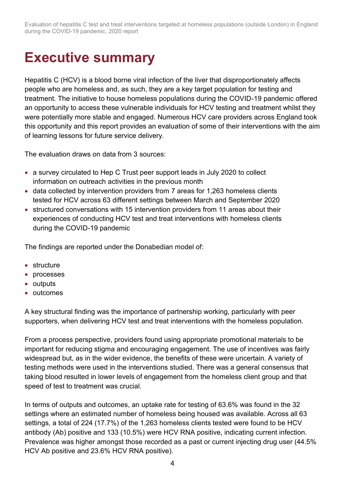## <span id="page-2-0"></span>**Executive summary**

Hepatitis C (HCV) is a blood borne viral infection of the liver that disproportionately affects people who are homeless and, as such, they are a key target population for testing and treatment. The initiative to house homeless populations during the COVID-19 pandemic offered an opportunity to access these vulnerable individuals for HCV testing and treatment whilst they were potentially more stable and engaged. Numerous HCV care providers across England took this opportunity and this report provides an evaluation of some of their interventions with the aim of learning lessons for future service delivery.

The evaluation draws on data from 3 sources:

- a survey circulated to Hep C Trust peer support leads in July 2020 to collect information on outreach activities in the previous month
- data collected by intervention providers from 7 areas for 1,263 homeless clients tested for HCV across 63 different settings between March and September 2020
- structured conversations with 15 intervention providers from 11 areas about their experiences of conducting HCV test and treat interventions with homeless clients during the COVID-19 pandemic

The findings are reported under the Donabedian model of:

- structure
- processes
- outputs
- outcomes

A key structural finding was the importance of partnership working, particularly with peer supporters, when delivering HCV test and treat interventions with the homeless population.

From a process perspective, providers found using appropriate promotional materials to be important for reducing stigma and encouraging engagement. The use of incentives was fairly widespread but, as in the wider evidence, the benefits of these were uncertain. A variety of testing methods were used in the interventions studied. There was a general consensus that taking blood resulted in lower levels of engagement from the homeless client group and that speed of test to treatment was crucial.

In terms of outputs and outcomes, an uptake rate for testing of 63.6% was found in the 32 settings where an estimated number of homeless being housed was available. Across all 63 settings, a total of 224 (17.7%) of the 1,263 homeless clients tested were found to be HCV antibody (Ab) positive and 133 (10.5%) were HCV RNA positive, indicating current infection. Prevalence was higher amongst those recorded as a past or current injecting drug user (44.5% HCV Ab positive and 23.6% HCV RNA positive).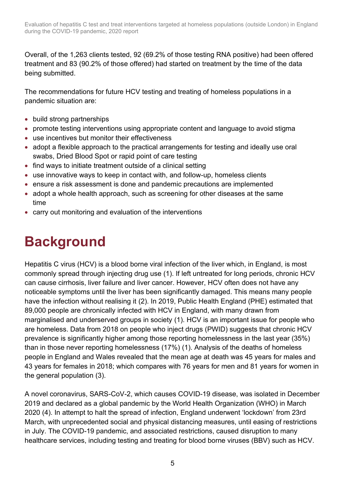Overall, of the 1,263 clients tested, 92 (69.2% of those testing RNA positive) had been offered treatment and 83 (90.2% of those offered) had started on treatment by the time of the data being submitted.

The recommendations for future HCV testing and treating of homeless populations in a pandemic situation are:

- build strong partnerships
- promote testing interventions using appropriate content and language to avoid stigma
- use incentives but monitor their effectiveness
- adopt a flexible approach to the practical arrangements for testing and ideally use oral swabs, Dried Blood Spot or rapid point of care testing
- find ways to initiate treatment outside of a clinical setting
- use innovative ways to keep in contact with, and follow-up, homeless clients
- ensure a risk assessment is done and pandemic precautions are implemented
- adopt a whole health approach, such as screening for other diseases at the same time
- carry out monitoring and evaluation of the interventions

# <span id="page-3-0"></span>**Background**

Hepatitis C virus (HCV) is a blood borne viral infection of the liver which, in England, is most commonly spread through injecting drug use (1). If left untreated for long periods, chronic HCV can cause cirrhosis, liver failure and liver cancer. However, HCV often does not have any noticeable symptoms until the liver has been significantly damaged. This means many people have the infection without realising it (2). In 2019, Public Health England (PHE) estimated that 89,000 people are chronically infected with HCV in England, with many drawn from marginalised and underserved groups in society (1). HCV is an important issue for people who are homeless. Data from 2018 on people who inject drugs (PWID) suggests that chronic HCV prevalence is significantly higher among those reporting homelessness in the last year (35%) than in those never reporting homelessness (17%) (1). Analysis of the deaths of homeless people in England and Wales revealed that the mean age at death was 45 years for males and 43 years for females in 2018; which compares with 76 years for men and 81 years for women in the general population (3).

A novel coronavirus, SARS-CoV-2, which causes COVID-19 disease, was isolated in December 2019 and declared as a global pandemic by the World Health Organization (WHO) in March 2020 (4). In attempt to halt the spread of infection, England underwent 'lockdown' from 23rd March, with unprecedented social and physical distancing measures, until easing of restrictions in July. The COVID-19 pandemic, and associated restrictions, caused disruption to many healthcare services, including testing and treating for blood borne viruses (BBV) such as HCV.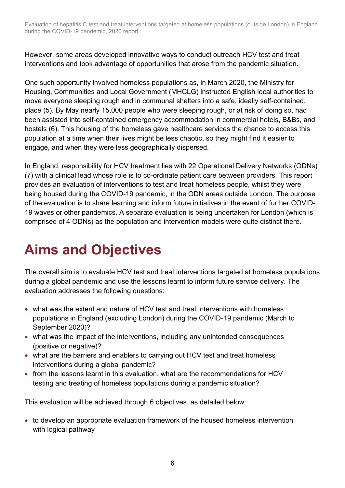However, some areas developed innovative ways to conduct outreach HCV test and treat interventions and took advantage of opportunities that arose from the pandemic situation.

One such opportunity involved homeless populations as, in March 2020, the Ministry for Housing, Communities and Local Government (MHCLG) instructed English local authorities to move everyone sleeping rough and in communal shelters into a safe, ideally self-contained, place (5). By May nearly 15,000 people who were sleeping rough, or at risk of doing so, had been assisted into self-contained emergency accommodation in commercial hotels, B&Bs, and hostels (6). This housing of the homeless gave healthcare services the chance to access this population at a time when their lives might be less chaotic, so they might find it easier to engage, and when they were less geographically dispersed.

In England, responsibility for HCV treatment lies with 22 Operational Delivery Networks (ODNs) (7) with a clinical lead whose role is to co-ordinate patient care between providers. This report provides an evaluation of interventions to test and treat homeless people, whilst they were being housed during the COVID-19 pandemic, in the ODN areas outside London. The purpose of the evaluation is to share learning and inform future initiatives in the event of further COVID-19 waves or other pandemics. A separate evaluation is being undertaken for London (which is comprised of 4 ODNs) as the population and intervention models were quite distinct there.

# <span id="page-4-0"></span>**Aims and Objectives**

The overall aim is to evaluate HCV test and treat interventions targeted at homeless populations during a global pandemic and use the lessons learnt to inform future service delivery. The evaluation addresses the following questions:

- what was the extent and nature of HCV test and treat interventions with homeless populations in England (excluding London) during the COVID-19 pandemic (March to September 2020)?
- what was the impact of the interventions, including any unintended consequences (positive or negative)?
- what are the barriers and enablers to carrying out HCV test and treat homeless interventions during a global pandemic?
- from the lessons learnt in this evaluation, what are the recommendations for HCV testing and treating of homeless populations during a pandemic situation?

This evaluation will be achieved through 6 objectives, as detailed below:

• to develop an appropriate evaluation framework of the housed homeless intervention with logical pathway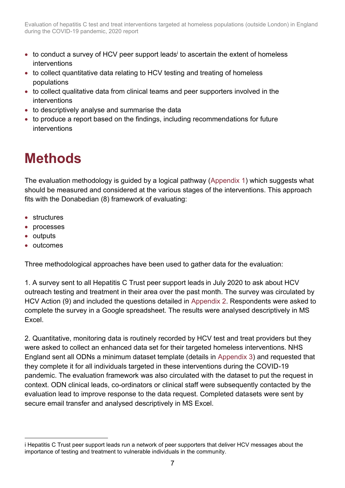- to conduct a survey of HCV peer support leads<sup>i</sup> to ascertain the extent of homeless interventions
- to collect quantitative data relating to HCV testing and treating of homeless populations
- to collect qualitative data from clinical teams and peer supporters involved in the interventions
- to descriptively analyse and summarise the data
- to produce a report based on the findings, including recommendations for future interventions

# <span id="page-5-0"></span>**Methods**

The evaluation methodology is guided by a logical pathway [\(Appendix 1\)](#page-26-1) which suggests what should be measured and considered at the various stages of the interventions. This approach fits with the Donabedian (8) framework of evaluating:

- structures
- processes
- outputs
- outcomes

Three methodological approaches have been used to gather data for the evaluation:

1. A survey sent to all Hepatitis C Trust peer support leads in July 2020 to ask about HCV outreach testing and treatment in their area over the past month. The survey was circulated by HCV Action (9) and included the questions detailed in [Appendix 2.](#page-27-0) Respondents were asked to complete the survey in a Google spreadsheet. The results were analysed descriptively in MS Excel.

2. Quantitative, monitoring data is routinely recorded by HCV test and treat providers but they were asked to collect an enhanced data set for their targeted homeless interventions. NHS England sent all ODNs a minimum dataset template (details in [Appendix 3\)](#page-28-0) and requested that they complete it for all individuals targeted in these interventions during the COVID-19 pandemic. The evaluation framework was also circulated with the dataset to put the request in context. ODN clinical leads, co-ordinators or clinical staff were subsequently contacted by the evaluation lead to improve response to the data request. Completed datasets were sent by secure email transfer and analysed descriptively in MS Excel.

i Hepatitis C Trust peer support leads run a network of peer supporters that deliver HCV messages about the importance of testing and treatment to vulnerable individuals in the community.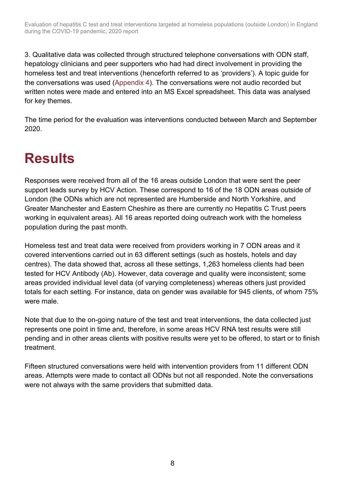3. Qualitative data was collected through structured telephone conversations with ODN staff, hepatology clinicians and peer supporters who had had direct involvement in providing the homeless test and treat interventions (henceforth referred to as 'providers'). A topic guide for the conversations was used [\(Appendix 4\)](#page-29-0). The conversations were not audio recorded but written notes were made and entered into an MS Excel spreadsheet. This data was analysed for key themes.

The time period for the evaluation was interventions conducted between March and September 2020.

# <span id="page-6-0"></span>**Results**

Responses were received from all of the 16 areas outside London that were sent the peer support leads survey by HCV Action. These correspond to 16 of the 18 ODN areas outside of London (the ODNs which are not represented are Humberside and North Yorkshire, and Greater Manchester and Eastern Cheshire as there are currently no Hepatitis C Trust peers working in equivalent areas). All 16 areas reported doing outreach work with the homeless population during the past month.

Homeless test and treat data were received from providers working in 7 ODN areas and it covered interventions carried out in 63 different settings (such as hostels, hotels and day centres). The data showed that, across all these settings, 1,263 homeless clients had been tested for HCV Antibody (Ab). However, data coverage and quality were inconsistent; some areas provided individual level data (of varying completeness) whereas others just provided totals for each setting. For instance, data on gender was available for 945 clients, of whom 75% were male.

Note that due to the on-going nature of the test and treat interventions, the data collected just represents one point in time and, therefore, in some areas HCV RNA test results were still pending and in other areas clients with positive results were yet to be offered, to start or to finish treatment.

Fifteen structured conversations were held with intervention providers from 11 different ODN areas. Attempts were made to contact all ODNs but not all responded. Note the conversations were not always with the same providers that submitted data.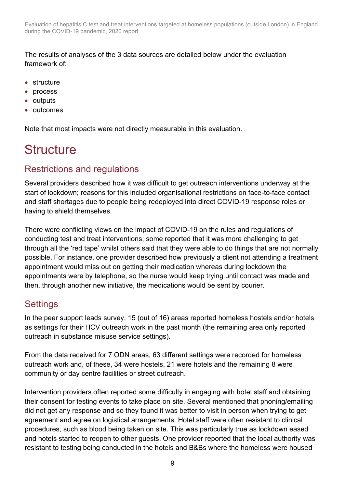The results of analyses of the 3 data sources are detailed below under the evaluation framework of:

- structure
- process
- outputs
- outcomes

Note that most impacts were not directly measurable in this evaluation.

## <span id="page-7-0"></span>**Structure**

### Restrictions and regulations

Several providers described how it was difficult to get outreach interventions underway at the start of lockdown; reasons for this included organisational restrictions on face-to-face contact and staff shortages due to people being redeployed into direct COVID-19 response roles or having to shield themselves.

There were conflicting views on the impact of COVID-19 on the rules and regulations of conducting test and treat interventions; some reported that it was more challenging to get through all the 'red tape' whilst others said that they were able to do things that are not normally possible. For instance, one provider described how previously a client not attending a treatment appointment would miss out on getting their medication whereas during lockdown the appointments were by telephone, so the nurse would keep trying until contact was made and then, through another new initiative, the medications would be sent by courier.

### **Settings**

In the peer support leads survey, 15 (out of 16) areas reported homeless hostels and/or hotels as settings for their HCV outreach work in the past month (the remaining area only reported outreach in substance misuse service settings).

From the data received for 7 ODN areas, 63 different settings were recorded for homeless outreach work and, of these, 34 were hostels, 21 were hotels and the remaining 8 were community or day centre facilities or street outreach.

Intervention providers often reported some difficulty in engaging with hotel staff and obtaining their consent for testing events to take place on site. Several mentioned that phoning/emailing did not get any response and so they found it was better to visit in person when trying to get agreement and agree on logistical arrangements. Hotel staff were often resistant to clinical procedures, such as blood being taken on site. This was particularly true as lockdown eased and hotels started to reopen to other guests. One provider reported that the local authority was resistant to testing being conducted in the hotels and B&Bs where the homeless were housed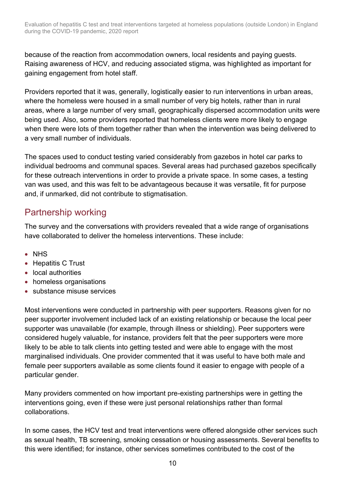because of the reaction from accommodation owners, local residents and paying guests. Raising awareness of HCV, and reducing associated stigma, was highlighted as important for gaining engagement from hotel staff.

Providers reported that it was, generally, logistically easier to run interventions in urban areas, where the homeless were housed in a small number of very big hotels, rather than in rural areas, where a large number of very small, geographically dispersed accommodation units were being used. Also, some providers reported that homeless clients were more likely to engage when there were lots of them together rather than when the intervention was being delivered to a very small number of individuals.

The spaces used to conduct testing varied considerably from gazebos in hotel car parks to individual bedrooms and communal spaces. Several areas had purchased gazebos specifically for these outreach interventions in order to provide a private space. In some cases, a testing van was used, and this was felt to be advantageous because it was versatile, fit for purpose and, if unmarked, did not contribute to stigmatisation.

## Partnership working

The survey and the conversations with providers revealed that a wide range of organisations have collaborated to deliver the homeless interventions. These include:

- NHS
- Hepatitis C Trust
- local authorities
- homeless organisations
- substance misuse services

Most interventions were conducted in partnership with peer supporters. Reasons given for no peer supporter involvement included lack of an existing relationship or because the local peer supporter was unavailable (for example, through illness or shielding). Peer supporters were considered hugely valuable, for instance, providers felt that the peer supporters were more likely to be able to talk clients into getting tested and were able to engage with the most marginalised individuals. One provider commented that it was useful to have both male and female peer supporters available as some clients found it easier to engage with people of a particular gender.

Many providers commented on how important pre-existing partnerships were in getting the interventions going, even if these were just personal relationships rather than formal collaborations.

In some cases, the HCV test and treat interventions were offered alongside other services such as sexual health, TB screening, smoking cessation or housing assessments. Several benefits to this were identified; for instance, other services sometimes contributed to the cost of the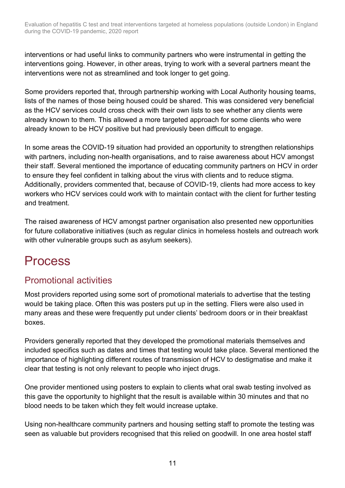interventions or had useful links to community partners who were instrumental in getting the interventions going. However, in other areas, trying to work with a several partners meant the interventions were not as streamlined and took longer to get going.

Some providers reported that, through partnership working with Local Authority housing teams, lists of the names of those being housed could be shared. This was considered very beneficial as the HCV services could cross check with their own lists to see whether any clients were already known to them. This allowed a more targeted approach for some clients who were already known to be HCV positive but had previously been difficult to engage.

In some areas the COVID-19 situation had provided an opportunity to strengthen relationships with partners, including non-health organisations, and to raise awareness about HCV amongst their staff. Several mentioned the importance of educating community partners on HCV in order to ensure they feel confident in talking about the virus with clients and to reduce stigma. Additionally, providers commented that, because of COVID-19, clients had more access to key workers who HCV services could work with to maintain contact with the client for further testing and treatment.

The raised awareness of HCV amongst partner organisation also presented new opportunities for future collaborative initiatives (such as regular clinics in homeless hostels and outreach work with other vulnerable groups such as asylum seekers).

## <span id="page-9-0"></span>Process

## Promotional activities

Most providers reported using some sort of promotional materials to advertise that the testing would be taking place. Often this was posters put up in the setting. Fliers were also used in many areas and these were frequently put under clients' bedroom doors or in their breakfast boxes.

Providers generally reported that they developed the promotional materials themselves and included specifics such as dates and times that testing would take place. Several mentioned the importance of highlighting different routes of transmission of HCV to destigmatise and make it clear that testing is not only relevant to people who inject drugs.

One provider mentioned using posters to explain to clients what oral swab testing involved as this gave the opportunity to highlight that the result is available within 30 minutes and that no blood needs to be taken which they felt would increase uptake.

Using non-healthcare community partners and housing setting staff to promote the testing was seen as valuable but providers recognised that this relied on goodwill. In one area hostel staff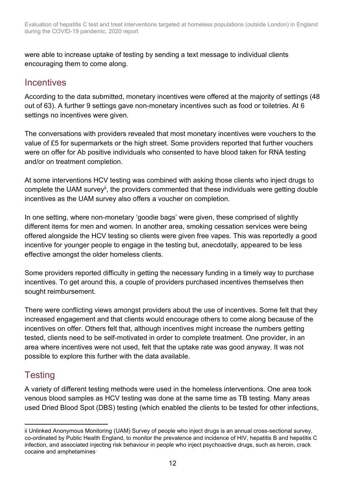were able to increase uptake of testing by sending a text message to individual clients encouraging them to come along.

### **Incentives**

According to the data submitted, monetary incentives were offered at the majority of settings (48 out of 63). A further 9 settings gave non-monetary incentives such as food or toiletries. At 6 settings no incentives were given.

The conversations with providers revealed that most monetary incentives were vouchers to the value of £5 for supermarkets or the high street. Some providers reported that further vouchers were on offer for Ab positive individuals who consented to have blood taken for RNA testing and/or on treatment completion.

At some interventions HCV testing was combined with asking those clients who inject drugs to complete the UAM survey<sup>ii</sup>, the providers commented that these individuals were getting double incentives as the UAM survey also offers a voucher on completion.

In one setting, where non-monetary 'goodie bags' were given, these comprised of slightly different items for men and women. In another area, smoking cessation services were being offered alongside the HCV testing so clients were given free vapes. This was reportedly a good incentive for younger people to engage in the testing but, anecdotally, appeared to be less effective amongst the older homeless clients.

Some providers reported difficulty in getting the necessary funding in a timely way to purchase incentives. To get around this, a couple of providers purchased incentives themselves then sought reimbursement.

There were conflicting views amongst providers about the use of incentives. Some felt that they increased engagement and that clients would encourage others to come along because of the incentives on offer. Others felt that, although incentives might increase the numbers getting tested, clients need to be self-motivated in order to complete treatment. One provider, in an area where incentives were not used, felt that the uptake rate was good anyway. It was not possible to explore this further with the data available.

## **Testing**

A variety of different testing methods were used in the homeless interventions. One area took venous blood samples as HCV testing was done at the same time as TB testing. Many areas used Dried Blood Spot (DBS) testing (which enabled the clients to be tested for other infections,

ii Unlinked Anonymous Monitoring (UAM) Survey of people who inject drugs is an annual cross-sectional survey, co-ordinated by Public Health England, to monitor the prevalence and incidence of HIV, hepatitis B and hepatitis C infection, and associated injecting risk behaviour in people who inject psychoactive drugs, such as heroin, crack cocaine and amphetamines.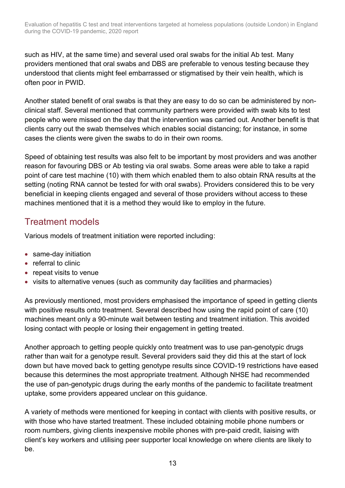such as HIV, at the same time) and several used oral swabs for the initial Ab test. Many providers mentioned that oral swabs and DBS are preferable to venous testing because they understood that clients might feel embarrassed or stigmatised by their vein health, which is often poor in PWID.

Another stated benefit of oral swabs is that they are easy to do so can be administered by nonclinical staff. Several mentioned that community partners were provided with swab kits to test people who were missed on the day that the intervention was carried out. Another benefit is that clients carry out the swab themselves which enables social distancing; for instance, in some cases the clients were given the swabs to do in their own rooms.

Speed of obtaining test results was also felt to be important by most providers and was another reason for favouring DBS or Ab testing via oral swabs. Some areas were able to take a rapid point of care test machine (10) with them which enabled them to also obtain RNA results at the setting (noting RNA cannot be tested for with oral swabs). Providers considered this to be very beneficial in keeping clients engaged and several of those providers without access to these machines mentioned that it is a method they would like to employ in the future.

## Treatment models

Various models of treatment initiation were reported including:

- same-day initiation
- referral to clinic
- repeat visits to venue
- visits to alternative venues (such as community day facilities and pharmacies)

As previously mentioned, most providers emphasised the importance of speed in getting clients with positive results onto treatment. Several described how using the rapid point of care (10) machines meant only a 90-minute wait between testing and treatment initiation. This avoided losing contact with people or losing their engagement in getting treated.

Another approach to getting people quickly onto treatment was to use pan-genotypic drugs rather than wait for a genotype result. Several providers said they did this at the start of lock down but have moved back to getting genotype results since COVID-19 restrictions have eased because this determines the most appropriate treatment. Although NHSE had recommended the use of pan-genotypic drugs during the early months of the pandemic to facilitate treatment uptake, some providers appeared unclear on this guidance.

A variety of methods were mentioned for keeping in contact with clients with positive results, or with those who have started treatment. These included obtaining mobile phone numbers or room numbers, giving clients inexpensive mobile phones with pre-paid credit, liaising with client's key workers and utilising peer supporter local knowledge on where clients are likely to be.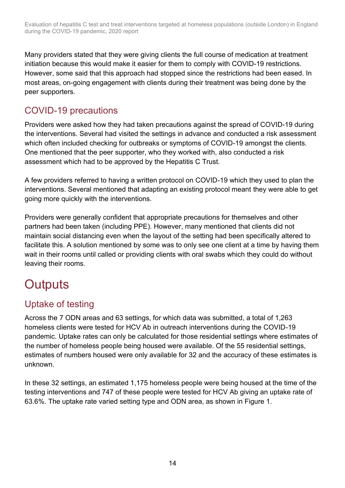Many providers stated that they were giving clients the full course of medication at treatment initiation because this would make it easier for them to comply with COVID-19 restrictions. However, some said that this approach had stopped since the restrictions had been eased. In most areas, on-going engagement with clients during their treatment was being done by the peer supporters.

## COVID-19 precautions

Providers were asked how they had taken precautions against the spread of COVID-19 during the interventions. Several had visited the settings in advance and conducted a risk assessment which often included checking for outbreaks or symptoms of COVID-19 amongst the clients. One mentioned that the peer supporter, who they worked with, also conducted a risk assessment which had to be approved by the Hepatitis C Trust.

A few providers referred to having a written protocol on COVID-19 which they used to plan the interventions. Several mentioned that adapting an existing protocol meant they were able to get going more quickly with the interventions.

Providers were generally confident that appropriate precautions for themselves and other partners had been taken (including PPE). However, many mentioned that clients did not maintain social distancing even when the layout of the setting had been specifically altered to facilitate this. A solution mentioned by some was to only see one client at a time by having them wait in their rooms until called or providing clients with oral swabs which they could do without leaving their rooms.

# <span id="page-12-0"></span>**Outputs**

## Uptake of testing

Across the 7 ODN areas and 63 settings, for which data was submitted, a total of 1,263 homeless clients were tested for HCV Ab in outreach interventions during the COVID-19 pandemic. Uptake rates can only be calculated for those residential settings where estimates of the number of homeless people being housed were available. Of the 55 residential settings, estimates of numbers housed were only available for 32 and the accuracy of these estimates is unknown.

In these 32 settings, an estimated 1,175 homeless people were being housed at the time of the testing interventions and 747 of these people were tested for HCV Ab giving an uptake rate of 63.6%. The uptake rate varied setting type and ODN area, as shown in Figure 1.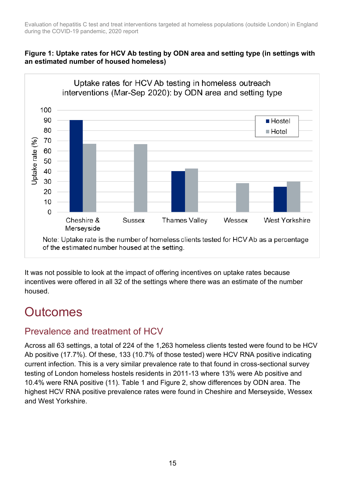#### **Figure 1: Uptake rates for HCV Ab testing by ODN area and setting type (in settings with an estimated number of housed homeless)**



It was not possible to look at the impact of offering incentives on uptake rates because incentives were offered in all 32 of the settings where there was an estimate of the number housed.

## <span id="page-13-0"></span>**Outcomes**

## Prevalence and treatment of HCV

Across all 63 settings, a total of 224 of the 1,263 homeless clients tested were found to be HCV Ab positive (17.7%). Of these, 133 (10.7% of those tested) were HCV RNA positive indicating current infection. This is a very similar prevalence rate to that found in cross-sectional survey testing of London homeless hostels residents in 2011-13 where 13% were Ab positive and 10.4% were RNA positive (11). Table 1 and Figure 2, show differences by ODN area. The highest HCV RNA positive prevalence rates were found in Cheshire and Merseyside, Wessex and West Yorkshire.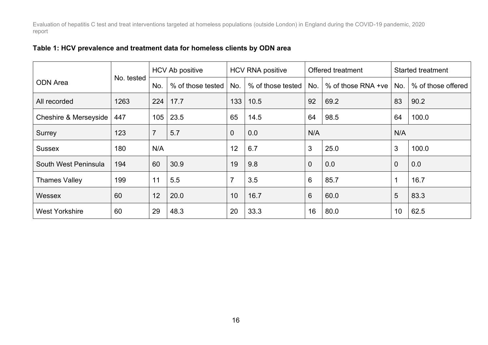|  |  |  | Table 1: HCV prevalence and treatment data for homeless clients by ODN area |  |
|--|--|--|-----------------------------------------------------------------------------|--|
|--|--|--|-----------------------------------------------------------------------------|--|

|                                  |            | <b>HCV Ab positive</b> |                   | <b>HCV RNA positive</b> |                          | <b>Offered treatment</b> |                           | <b>Started treatment</b> |                    |
|----------------------------------|------------|------------------------|-------------------|-------------------------|--------------------------|--------------------------|---------------------------|--------------------------|--------------------|
| <b>ODN</b> Area                  | No. tested | No.                    | % of those tested |                         | % of those tested<br>No. |                          | % of those RNA +ve<br>No. |                          | % of those offered |
| All recorded                     | 1263       | 224                    | 17.7              | 133                     | 10.5                     | 92<br>69.2               |                           | 83                       | 90.2               |
| <b>Cheshire &amp; Merseyside</b> | 447        | 105                    | 23.5              | 65                      | 14.5                     | 64                       | 98.5                      | 64                       | 100.0              |
| Surrey                           | 123        | $\overline{7}$         | 5.7               | 0                       | 0.0                      | N/A                      |                           | N/A                      |                    |
| <b>Sussex</b>                    | 180        | N/A                    |                   | 12                      | 6.7                      | 3<br>25.0                |                           | $\mathbf{3}$             | 100.0              |
| South West Peninsula             | 194        | 60                     | 30.9              | 19                      | 9.8                      | $\overline{0}$           | 0.0                       | $\overline{0}$           | 0.0                |
| <b>Thames Valley</b>             | 199        | 11                     | 5.5               | $\overline{7}$          | 3.5                      | 6                        | 85.7                      | $\mathbf 1$              | 16.7               |
| <b>Wessex</b>                    | 60         | 12                     | 20.0              | 10                      | 16.7                     | 6                        | 60.0                      | $5\phantom{1}$           | 83.3               |
| <b>West Yorkshire</b>            | 60         | 29                     | 48.3              | 20                      | 33.3                     | 16                       | 80.0                      | 10                       | 62.5               |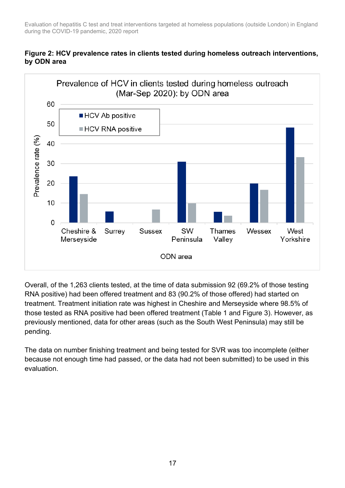#### **Figure 2: HCV prevalence rates in clients tested during homeless outreach interventions, by ODN area**



Overall, of the 1,263 clients tested, at the time of data submission 92 (69.2% of those testing RNA positive) had been offered treatment and 83 (90.2% of those offered) had started on treatment. Treatment initiation rate was highest in Cheshire and Merseyside where 98.5% of those tested as RNA positive had been offered treatment (Table 1 and Figure 3). However, as previously mentioned, data for other areas (such as the South West Peninsula) may still be pending.

The data on number finishing treatment and being tested for SVR was too incomplete (either because not enough time had passed, or the data had not been submitted) to be used in this evaluation.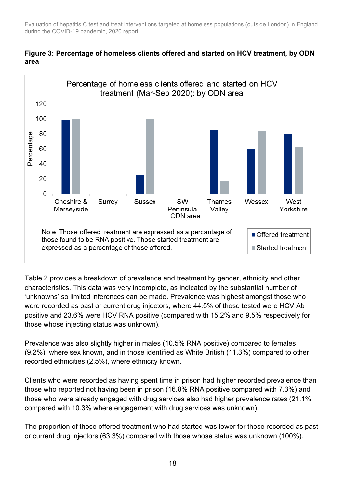

#### **Figure 3: Percentage of homeless clients offered and started on HCV treatment, by ODN area**

Table 2 provides a breakdown of prevalence and treatment by gender, ethnicity and other characteristics. This data was very incomplete, as indicated by the substantial number of 'unknowns' so limited inferences can be made. Prevalence was highest amongst those who were recorded as past or current drug injectors, where 44.5% of those tested were HCV Ab positive and 23.6% were HCV RNA positive (compared with 15.2% and 9.5% respectively for those whose injecting status was unknown).

Prevalence was also slightly higher in males (10.5% RNA positive) compared to females (9.2%), where sex known, and in those identified as White British (11.3%) compared to other recorded ethnicities (2.5%), where ethnicity known.

Clients who were recorded as having spent time in prison had higher recorded prevalence than those who reported not having been in prison (16.8% RNA positive compared with 7.3%) and those who were already engaged with drug services also had higher prevalence rates (21.1% compared with 10.3% where engagement with drug services was unknown).

The proportion of those offered treatment who had started was lower for those recorded as past or current drug injectors (63.3%) compared with those whose status was unknown (100%).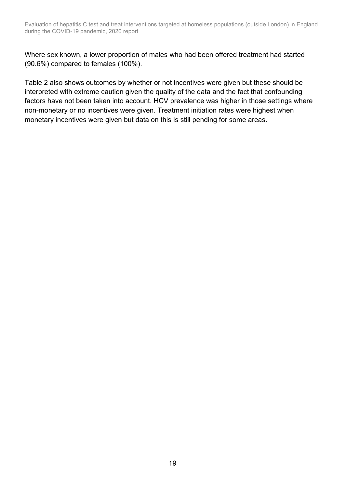Where sex known, a lower proportion of males who had been offered treatment had started (90.6%) compared to females (100%).

Table 2 also shows outcomes by whether or not incentives were given but these should be interpreted with extreme caution given the quality of the data and the fact that confounding factors have not been taken into account. HCV prevalence was higher in those settings where non-monetary or no incentives were given. Treatment initiation rates were highest when monetary incentives were given but data on this is still pending for some areas.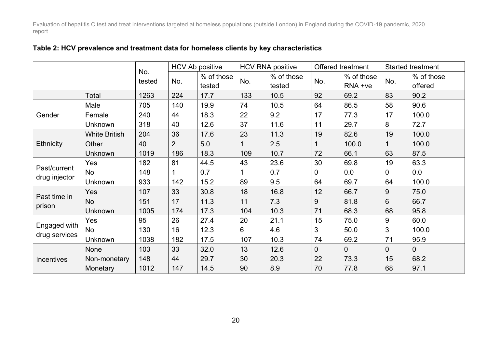|                               |                      |               | <b>HCV Ab positive</b> |                      | <b>HCV RNA positive</b> |                      | Offered treatment |                       | <b>Started treatment</b> |                       |
|-------------------------------|----------------------|---------------|------------------------|----------------------|-------------------------|----------------------|-------------------|-----------------------|--------------------------|-----------------------|
|                               |                      | No.<br>tested | No.                    | % of those<br>tested | No.                     | % of those<br>tested | No.               | % of those<br>RNA +ve | No.                      | % of those<br>offered |
|                               | <b>Total</b>         | 1263          | 224                    | 17.7                 | 133                     | 10.5                 | 92                | 69.2                  | 83                       | 90.2                  |
|                               | Male                 | 705           | 140                    | 19.9                 | 74                      | 10.5                 | 64                | 86.5                  | 58                       | 90.6                  |
| Gender                        | Female               | 240           | 44                     | 18.3                 | 22                      | 9.2                  | 17                | 77.3                  | 17                       | 100.0                 |
|                               | Unknown              | 318           | 40                     | 12.6                 | 37                      | 11.6                 | 11                | 29.7                  | 8                        | 72.7                  |
|                               | <b>White British</b> | 204           | 36                     | 17.6                 | 23                      | 11.3                 | 19                | 82.6                  | 19                       | 100.0                 |
| <b>Ethnicity</b>              | Other                | 40            | $\overline{2}$         | 5.0                  |                         | 2.5                  |                   | 100.0                 |                          | 100.0                 |
|                               | <b>Unknown</b>       | 1019          | 186                    | 18.3                 | 109                     | 10.7                 | 72                | 66.1                  | 63                       | 87.5                  |
|                               | Yes                  | 182           | 81                     | 44.5                 | 43                      | 23.6                 | 30                | 69.8                  | 19                       | 63.3                  |
| Past/current                  | No                   | 148           | 1                      | 0.7                  |                         | 0.7                  | 0                 | 0.0                   | 0                        | 0.0                   |
| drug injector                 | <b>Unknown</b>       | 933           | 142                    | 15.2                 | 89                      | 9.5                  | 64                | 69.7                  | 64                       | 100.0                 |
| Past time in<br>prison        | Yes                  | 107           | 33                     | 30.8                 | 18                      | 16.8                 | 12                | 66.7                  | 9                        | 75.0                  |
|                               | <b>No</b>            | 151           | 17                     | 11.3                 | 11                      | 7.3                  | 9                 | 81.8                  | 6                        | 66.7                  |
|                               | Unknown              | 1005          | 174                    | 17.3                 | 104                     | 10.3                 | 71                | 68.3                  | 68                       | 95.8                  |
| Engaged with<br>drug services | Yes                  | 95            | 26                     | 27.4                 | 20                      | 21.1                 | 15                | 75.0                  | 9                        | 60.0                  |
|                               | No                   | 130           | 16                     | 12.3                 | 6                       | 4.6                  | 3                 | 50.0                  | 3                        | 100.0                 |
|                               | <b>Unknown</b>       | 1038          | 182                    | 17.5                 | 107                     | 10.3                 | 74                | 69.2                  | 71                       | 95.9                  |
| Incentives                    | None                 | 103           | 33                     | 32.0                 | 13                      | 12.6                 | $\overline{0}$    | $\overline{0}$        | 0                        | $\overline{0}$        |
|                               | Non-monetary         | 148           | 44                     | 29.7                 | 30                      | 20.3                 | 22                | 73.3                  | 15                       | 68.2                  |
|                               | Monetary             | 1012          | 147                    | 14.5                 | 90                      | 8.9                  | 70                | 77.8                  | 68                       | 97.1                  |

#### **Table 2: HCV prevalence and treatment data for homeless clients by key characteristics**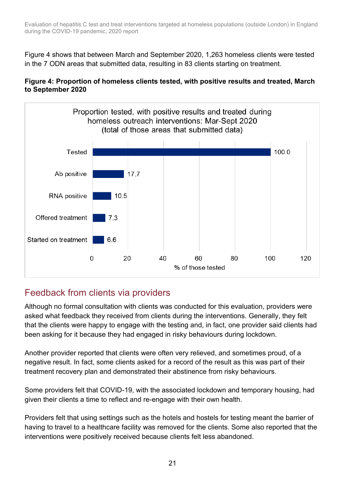Figure 4 shows that between March and September 2020, 1,263 homeless clients were tested in the 7 ODN areas that submitted data, resulting in 83 clients starting on treatment.





## Feedback from clients via providers

Although no formal consultation with clients was conducted for this evaluation, providers were asked what feedback they received from clients during the interventions. Generally, they felt that the clients were happy to engage with the testing and, in fact, one provider said clients had been asking for it because they had engaged in risky behaviours during lockdown.

Another provider reported that clients were often very relieved, and sometimes proud, of a negative result. In fact, some clients asked for a record of the result as this was part of their treatment recovery plan and demonstrated their abstinence from risky behaviours.

Some providers felt that COVID-19, with the associated lockdown and temporary housing, had given their clients a time to reflect and re-engage with their own health.

Providers felt that using settings such as the hotels and hostels for testing meant the barrier of having to travel to a healthcare facility was removed for the clients. Some also reported that the interventions were positively received because clients felt less abandoned.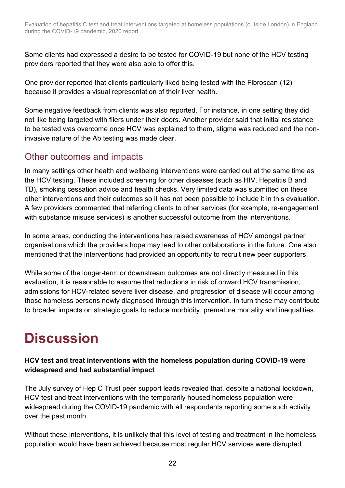Some clients had expressed a desire to be tested for COVID-19 but none of the HCV testing providers reported that they were also able to offer this.

One provider reported that clients particularly liked being tested with the Fibroscan (12) because it provides a visual representation of their liver health.

Some negative feedback from clients was also reported. For instance, in one setting they did not like being targeted with fliers under their doors. Another provider said that initial resistance to be tested was overcome once HCV was explained to them, stigma was reduced and the noninvasive nature of the Ab testing was made clear.

### Other outcomes and impacts

In many settings other health and wellbeing interventions were carried out at the same time as the HCV testing. These included screening for other diseases (such as HIV, Hepatitis B and TB), smoking cessation advice and health checks. Very limited data was submitted on these other interventions and their outcomes so it has not been possible to include it in this evaluation. A few providers commented that referring clients to other services (for example, re-engagement with substance misuse services) is another successful outcome from the interventions.

In some areas, conducting the interventions has raised awareness of HCV amongst partner organisations which the providers hope may lead to other collaborations in the future. One also mentioned that the interventions had provided an opportunity to recruit new peer supporters.

While some of the longer-term or downstream outcomes are not directly measured in this evaluation, it is reasonable to assume that reductions in risk of onward HCV transmission, admissions for HCV-related severe liver disease, and progression of disease will occur among those homeless persons newly diagnosed through this intervention. In turn these may contribute to broader impacts on strategic goals to reduce morbidity, premature mortality and inequalities.

# <span id="page-20-0"></span>**Discussion**

#### **HCV test and treat interventions with the homeless population during COVID-19 were widespread and had substantial impact**

The July survey of Hep C Trust peer support leads revealed that, despite a national lockdown, HCV test and treat interventions with the temporarily housed homeless population were widespread during the COVID-19 pandemic with all respondents reporting some such activity over the past month.

Without these interventions, it is unlikely that this level of testing and treatment in the homeless population would have been achieved because most regular HCV services were disrupted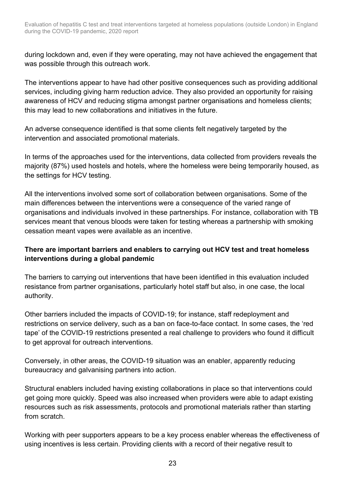during lockdown and, even if they were operating, may not have achieved the engagement that was possible through this outreach work.

The interventions appear to have had other positive consequences such as providing additional services, including giving harm reduction advice. They also provided an opportunity for raising awareness of HCV and reducing stigma amongst partner organisations and homeless clients; this may lead to new collaborations and initiatives in the future.

An adverse consequence identified is that some clients felt negatively targeted by the intervention and associated promotional materials.

In terms of the approaches used for the interventions, data collected from providers reveals the majority (87%) used hostels and hotels, where the homeless were being temporarily housed, as the settings for HCV testing.

All the interventions involved some sort of collaboration between organisations. Some of the main differences between the interventions were a consequence of the varied range of organisations and individuals involved in these partnerships. For instance, collaboration with TB services meant that venous bloods were taken for testing whereas a partnership with smoking cessation meant vapes were available as an incentive.

#### **There are important barriers and enablers to carrying out HCV test and treat homeless interventions during a global pandemic**

The barriers to carrying out interventions that have been identified in this evaluation included resistance from partner organisations, particularly hotel staff but also, in one case, the local authority.

Other barriers included the impacts of COVID-19; for instance, staff redeployment and restrictions on service delivery, such as a ban on face-to-face contact. In some cases, the 'red tape' of the COVID-19 restrictions presented a real challenge to providers who found it difficult to get approval for outreach interventions.

Conversely, in other areas, the COVID-19 situation was an enabler, apparently reducing bureaucracy and galvanising partners into action.

Structural enablers included having existing collaborations in place so that interventions could get going more quickly. Speed was also increased when providers were able to adapt existing resources such as risk assessments, protocols and promotional materials rather than starting from scratch.

Working with peer supporters appears to be a key process enabler whereas the effectiveness of using incentives is less certain. Providing clients with a record of their negative result to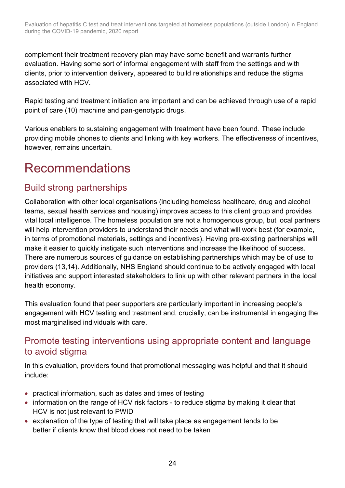complement their treatment recovery plan may have some benefit and warrants further evaluation. Having some sort of informal engagement with staff from the settings and with clients, prior to intervention delivery, appeared to build relationships and reduce the stigma associated with HCV.

Rapid testing and treatment initiation are important and can be achieved through use of a rapid point of care (10) machine and pan-genotypic drugs.

Various enablers to sustaining engagement with treatment have been found. These include providing mobile phones to clients and linking with key workers. The effectiveness of incentives, however, remains uncertain.

## <span id="page-22-0"></span>Recommendations

## Build strong partnerships

Collaboration with other local organisations (including homeless healthcare, drug and alcohol teams, sexual health services and housing) improves access to this client group and provides vital local intelligence. The homeless population are not a homogenous group, but local partners will help intervention providers to understand their needs and what will work best (for example, in terms of promotional materials, settings and incentives). Having pre-existing partnerships will make it easier to quickly instigate such interventions and increase the likelihood of success. There are numerous sources of guidance on establishing partnerships which may be of use to providers (13,14). Additionally, NHS England should continue to be actively engaged with local initiatives and support interested stakeholders to link up with other relevant partners in the local health economy.

This evaluation found that peer supporters are particularly important in increasing people's engagement with HCV testing and treatment and, crucially, can be instrumental in engaging the most marginalised individuals with care.

## Promote testing interventions using appropriate content and language to avoid stigma

In this evaluation, providers found that promotional messaging was helpful and that it should include:

- practical information, such as dates and times of testing
- information on the range of HCV risk factors to reduce stigma by making it clear that HCV is not just relevant to PWID
- explanation of the type of testing that will take place as engagement tends to be better if clients know that blood does not need to be taken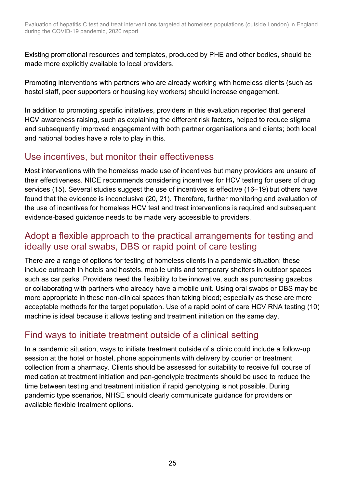Existing promotional resources and templates, produced by PHE and other bodies, should be made more explicitly available to local providers.

Promoting interventions with partners who are already working with homeless clients (such as hostel staff, peer supporters or housing key workers) should increase engagement.

In addition to promoting specific initiatives, providers in this evaluation reported that general HCV awareness raising, such as explaining the different risk factors, helped to reduce stigma and subsequently improved engagement with both partner organisations and clients; both local and national bodies have a role to play in this.

## Use incentives, but monitor their effectiveness

Most interventions with the homeless made use of incentives but many providers are unsure of their effectiveness. NICE recommends considering incentives for HCV testing for users of drug services (15). Several studies suggest the use of incentives is effective (16–19) but others have found that the evidence is inconclusive (20, 21). Therefore, further monitoring and evaluation of the use of incentives for homeless HCV test and treat interventions is required and subsequent evidence-based guidance needs to be made very accessible to providers.

## Adopt a flexible approach to the practical arrangements for testing and ideally use oral swabs, DBS or rapid point of care testing

There are a range of options for testing of homeless clients in a pandemic situation; these include outreach in hotels and hostels, mobile units and temporary shelters in outdoor spaces such as car parks. Providers need the flexibility to be innovative, such as purchasing gazebos or collaborating with partners who already have a mobile unit. Using oral swabs or DBS may be more appropriate in these non-clinical spaces than taking blood; especially as these are more acceptable methods for the target population. Use of a rapid point of care HCV RNA testing (10) machine is ideal because it allows testing and treatment initiation on the same day.

## Find ways to initiate treatment outside of a clinical setting

In a pandemic situation, ways to initiate treatment outside of a clinic could include a follow-up session at the hotel or hostel, phone appointments with delivery by courier or treatment collection from a pharmacy. Clients should be assessed for suitability to receive full course of medication at treatment initiation and pan-genotypic treatments should be used to reduce the time between testing and treatment initiation if rapid genotyping is not possible. During pandemic type scenarios, NHSE should clearly communicate guidance for providers on available flexible treatment options.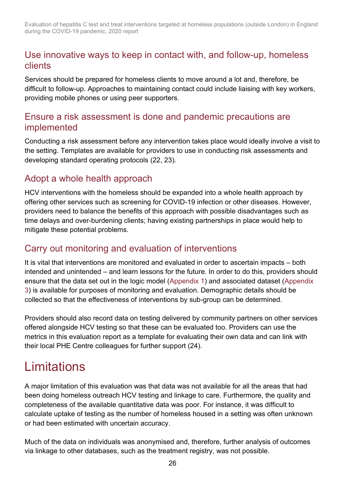### Use innovative ways to keep in contact with, and follow-up, homeless clients

Services should be prepared for homeless clients to move around a lot and, therefore, be difficult to follow-up. Approaches to maintaining contact could include liaising with key workers, providing mobile phones or using peer supporters.

### Ensure a risk assessment is done and pandemic precautions are implemented

Conducting a risk assessment before any intervention takes place would ideally involve a visit to the setting. Templates are available for providers to use in conducting risk assessments and developing standard operating protocols (22, 23).

## Adopt a whole health approach

HCV interventions with the homeless should be expanded into a whole health approach by offering other services such as screening for COVID-19 infection or other diseases. However, providers need to balance the benefits of this approach with possible disadvantages such as time delays and over-burdening clients; having existing partnerships in place would help to mitigate these potential problems.

### Carry out monitoring and evaluation of interventions

It is vital that interventions are monitored and evaluated in order to ascertain impacts – both intended and unintended – and learn lessons for the future. In order to do this, providers should ensure that the data set out in the logic model [\(Appendix 1\)](#page-26-1) and associated dataset [\(Appendix](#page-28-0)  [3\)](#page-28-0) is available for purposes of monitoring and evaluation. Demographic details should be collected so that the effectiveness of interventions by sub-group can be determined.

Providers should also record data on testing delivered by community partners on other services offered alongside HCV testing so that these can be evaluated too. Providers can use the metrics in this evaluation report as a template for evaluating their own data and can link with their local PHE Centre colleagues for further support (24).

## <span id="page-24-0"></span>**Limitations**

A major limitation of this evaluation was that data was not available for all the areas that had been doing homeless outreach HCV testing and linkage to care. Furthermore, the quality and completeness of the available quantitative data was poor. For instance, it was difficult to calculate uptake of testing as the number of homeless housed in a setting was often unknown or had been estimated with uncertain accuracy.

Much of the data on individuals was anonymised and, therefore, further analysis of outcomes via linkage to other databases, such as the treatment registry, was not possible.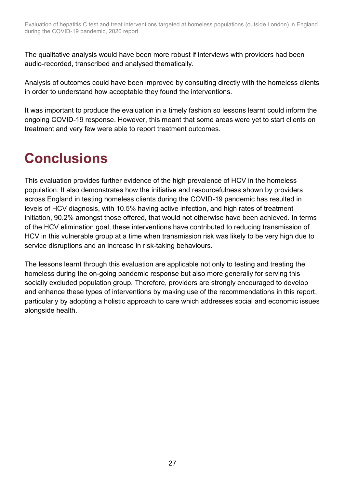The qualitative analysis would have been more robust if interviews with providers had been audio-recorded, transcribed and analysed thematically.

Analysis of outcomes could have been improved by consulting directly with the homeless clients in order to understand how acceptable they found the interventions.

It was important to produce the evaluation in a timely fashion so lessons learnt could inform the ongoing COVID-19 response. However, this meant that some areas were yet to start clients on treatment and very few were able to report treatment outcomes.

# <span id="page-25-0"></span>**Conclusions**

This evaluation provides further evidence of the high prevalence of HCV in the homeless population. It also demonstrates how the initiative and resourcefulness shown by providers across England in testing homeless clients during the COVID-19 pandemic has resulted in levels of HCV diagnosis, with 10.5% having active infection, and high rates of treatment initiation, 90.2% amongst those offered, that would not otherwise have been achieved. In terms of the HCV elimination goal, these interventions have contributed to reducing transmission of HCV in this vulnerable group at a time when transmission risk was likely to be very high due to service disruptions and an increase in risk-taking behaviours.

The lessons learnt through this evaluation are applicable not only to testing and treating the homeless during the on-going pandemic response but also more generally for serving this socially excluded population group. Therefore, providers are strongly encouraged to develop and enhance these types of interventions by making use of the recommendations in this report, particularly by adopting a holistic approach to care which addresses social and economic issues alongside health.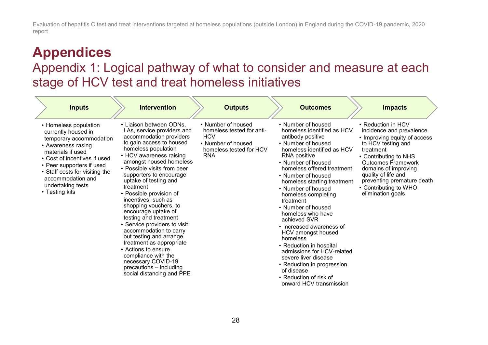# **Appendices**

## Appendix 1: Logical pathway of what to consider and measure at each stage of HCV test and treat homeless initiatives

<span id="page-26-1"></span><span id="page-26-0"></span>

| <b>Inputs</b>                                                                                                                                                                                                                                                                 | <b>Intervention</b>                                                                                                                                                                                                                                                                                                                                                                                                                                                                                                                                                                                                                                               | <b>Outputs</b>                                                                                                               | <b>Outcomes</b>                                                                                                                                                                                                                                                                                                                                                                                                                                                                                                                                                                                                         | <b>Impacts</b>                                                                                                                                                                                                                                                                                     |
|-------------------------------------------------------------------------------------------------------------------------------------------------------------------------------------------------------------------------------------------------------------------------------|-------------------------------------------------------------------------------------------------------------------------------------------------------------------------------------------------------------------------------------------------------------------------------------------------------------------------------------------------------------------------------------------------------------------------------------------------------------------------------------------------------------------------------------------------------------------------------------------------------------------------------------------------------------------|------------------------------------------------------------------------------------------------------------------------------|-------------------------------------------------------------------------------------------------------------------------------------------------------------------------------------------------------------------------------------------------------------------------------------------------------------------------------------------------------------------------------------------------------------------------------------------------------------------------------------------------------------------------------------------------------------------------------------------------------------------------|----------------------------------------------------------------------------------------------------------------------------------------------------------------------------------------------------------------------------------------------------------------------------------------------------|
| • Homeless population<br>currently housed in<br>temporary accommodation<br>• Awareness rasing<br>materials if used<br>• Cost of incentives if used<br>• Peer supporters if used<br>• Staff costs for visiting the<br>accommodation and<br>undertaking tests<br>• Testing kits | • Liaison between ODNs,<br>LAs, service providers and<br>accommodation providers<br>to gain access to housed<br>homeless population<br>• HCV awareness raising<br>amongst housed homeless<br>• Possible visits from peer<br>supporters to encourage<br>uptake of testing and<br>treatment<br>• Possible provision of<br>incentives, such as<br>shopping vouchers, to<br>encourage uptake of<br>testing and treatment<br>• Service providers to visit<br>accommodation to carry<br>out testing and arrange<br>treatment as appropriate<br>• Actions to ensure<br>compliance with the<br>necessary COVID-19<br>precautions - including<br>social distancing and PPE | • Number of housed<br>homeless tested for anti-<br><b>HCV</b><br>• Number of housed<br>homeless tested for HCV<br><b>RNA</b> | • Number of housed<br>homeless identified as HCV<br>antibody positive<br>• Number of housed<br>homeless identified as HCV<br>RNA positive<br>• Number of housed<br>homeless offered treatment<br>• Number of housed<br>homeless starting treatment<br>• Number of housed<br>homeless completing<br>treatment<br>• Number of housed<br>homeless who have<br>achieved SVR<br>• Increased awareness of<br>HCV amongst housed<br>homeless<br>• Reduction in hospital<br>admissions for HCV-related<br>severe liver disease<br>• Reduction in progression<br>of disease<br>• Reduction of risk of<br>onward HCV transmission | • Reduction in HCV<br>incidence and prevalence<br>• Improving equity of access<br>to HCV testing and<br>treatment<br>• Contributing to NHS<br><b>Outcomes Framework</b><br>domains of improving<br>quality of life and<br>preventing premature death<br>• Contributing to WHO<br>elimination goals |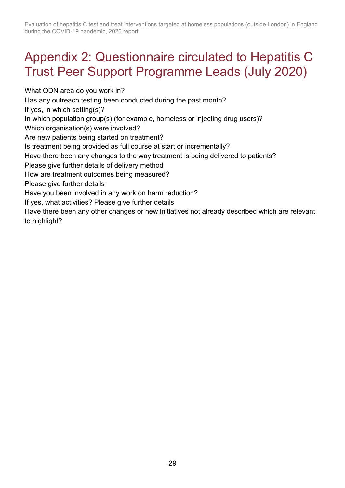## <span id="page-27-0"></span>Appendix 2: Questionnaire circulated to Hepatitis C Trust Peer Support Programme Leads (July 2020)

What ODN area do you work in? Has any outreach testing been conducted during the past month? If yes, in which setting(s)? In which population group(s) (for example, homeless or injecting drug users)? Which organisation(s) were involved? Are new patients being started on treatment? Is treatment being provided as full course at start or incrementally? Have there been any changes to the way treatment is being delivered to patients? Please give further details of delivery method How are treatment outcomes being measured? Please give further details Have you been involved in any work on harm reduction? If yes, what activities? Please give further details Have there been any other changes or new initiatives not already described which are relevant to highlight?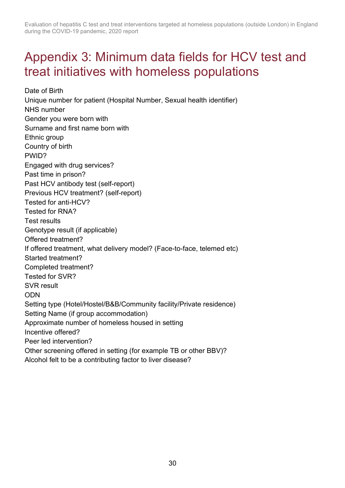## <span id="page-28-0"></span>Appendix 3: Minimum data fields for HCV test and treat initiatives with homeless populations

Date of Birth Unique number for patient (Hospital Number, Sexual health identifier) NHS number Gender you were born with Surname and first name born with Ethnic group Country of birth PWID? Engaged with drug services? Past time in prison? Past HCV antibody test (self-report) Previous HCV treatment? (self-report) Tested for anti-HCV? Tested for RNA? Test results Genotype result (if applicable) Offered treatment? If offered treatment, what delivery model? (Face-to-face, telemed etc) Started treatment? Completed treatment? Tested for SVR? SVR result ODN Setting type (Hotel/Hostel/B&B/Community facility/Private residence) Setting Name (if group accommodation) Approximate number of homeless housed in setting Incentive offered? Peer led intervention? Other screening offered in setting (for example TB or other BBV)? Alcohol felt to be a contributing factor to liver disease?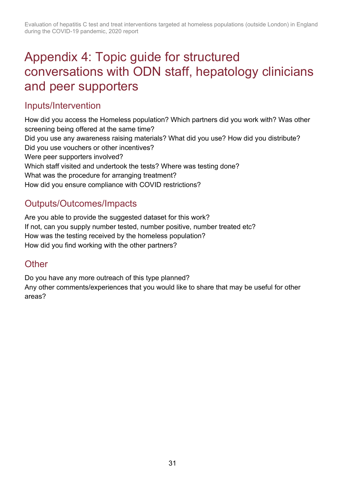## <span id="page-29-0"></span>Appendix 4: Topic guide for structured conversations with ODN staff, hepatology clinicians and peer supporters

## Inputs/Intervention

How did you access the Homeless population? Which partners did you work with? Was other screening being offered at the same time? Did you use any awareness raising materials? What did you use? How did you distribute? Did you use vouchers or other incentives? Were peer supporters involved? Which staff visited and undertook the tests? Where was testing done? What was the procedure for arranging treatment? How did you ensure compliance with COVID restrictions?

## Outputs/Outcomes/Impacts

Are you able to provide the suggested dataset for this work? If not, can you supply number tested, number positive, number treated etc? How was the testing received by the homeless population? How did you find working with the other partners?

## **Other**

Do you have any more outreach of this type planned?

Any other comments/experiences that you would like to share that may be useful for other areas?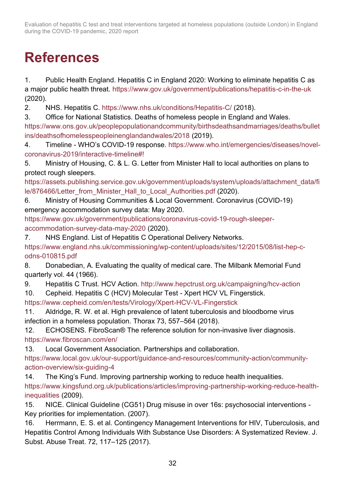# <span id="page-30-0"></span>**References**

1. Public Health England. Hepatitis C in England 2020: Working to eliminate hepatitis C as a major public health threat. <https://www.gov.uk/government/publications/hepatitis-c-in-the-uk> (2020).

2. NHS. Hepatitis C.<https://www.nhs.uk/conditions/Hepatitis-C/> (2018).

3. Office for National Statistics. Deaths of homeless people in England and Wales.

[https://www.ons.gov.uk/peoplepopulationandcommunity/birthsdeathsandmarriages/deaths/bullet](https://www.ons.gov.uk/peoplepopulationandcommunity/birthsdeathsandmarriages/deaths/bulletins/deathsofhomelesspeopleinenglandandwales/2018) [ins/deathsofhomelesspeopleinenglandandwales/2018](https://www.ons.gov.uk/peoplepopulationandcommunity/birthsdeathsandmarriages/deaths/bulletins/deathsofhomelesspeopleinenglandandwales/2018) (2019).

4. Timeline - WHO's COVID-19 response. [https://www.who.int/emergencies/diseases/novel](https://www.who.int/emergencies/diseases/novel-coronavirus-2019/interactive-timeline#!)[coronavirus-2019/interactive-timeline#!](https://www.who.int/emergencies/diseases/novel-coronavirus-2019/interactive-timeline#!)

5. Ministry of Housing, C. & L. G. Letter from Minister Hall to local authorities on plans to protect rough sleepers.

[https://assets.publishing.service.gov.uk/government/uploads/system/uploads/attachment\\_data/fi](https://assets.publishing.service.gov.uk/government/uploads/system/uploads/attachment_data/file/876466/Letter_from_Minister_Hall_to_Local_Authorities.pdf) [le/876466/Letter\\_from\\_Minister\\_Hall\\_to\\_Local\\_Authorities.pdf](https://assets.publishing.service.gov.uk/government/uploads/system/uploads/attachment_data/file/876466/Letter_from_Minister_Hall_to_Local_Authorities.pdf) (2020).

6. Ministry of Housing Communities & Local Government. Coronavirus (COVID-19) emergency accommodation survey data: May 2020.

[https://www.gov.uk/government/publications/coronavirus-covid-19-rough-sleeper](https://www.gov.uk/government/publications/coronavirus-covid-19-rough-sleeper-accommodation-survey-data-may-2020)[accommodation-survey-data-may-2020](https://www.gov.uk/government/publications/coronavirus-covid-19-rough-sleeper-accommodation-survey-data-may-2020) (2020).

7. NHS England. List of Hepatitis C Operational Delivery Networks.

[https://www.england.nhs.uk/commissioning/wp-content/uploads/sites/12/2015/08/list-hep-c](https://www.england.nhs.uk/commissioning/wp-content/uploads/sites/12/2015/08/list-hep-c-odns-010815.pdf)[odns-010815.pdf](https://www.england.nhs.uk/commissioning/wp-content/uploads/sites/12/2015/08/list-hep-c-odns-010815.pdf)

8. Donabedian, A. Evaluating the quality of medical care. The Milbank Memorial Fund quarterly vol. 44 (1966).

9. Hepatitis C Trust. HCV Action.<http://www.hepctrust.org.uk/campaigning/hcv-action>

10. Cepheid. Hepatitis C (HCV) Molecular Test - Xpert HCV VL Fingerstick.

<https://www.cepheid.com/en/tests/Virology/Xpert-HCV-VL-Fingerstick>

11. Aldridge, R. W. et al. High prevalence of latent tuberculosis and bloodborne virus infection in a homeless population. Thorax 73, 557–564 (2018).

12. ECHOSENS. FibroScan® The reference solution for non-invasive liver diagnosis. <https://www.fibroscan.com/en/>

13. Local Government Association. Partnerships and collaboration.

[https://www.local.gov.uk/our-support/guidance-and-resources/community-action/community](https://www.local.gov.uk/our-support/guidance-and-resources/community-action/community-action-overview/six-guiding-4)[action-overview/six-guiding-4](https://www.local.gov.uk/our-support/guidance-and-resources/community-action/community-action-overview/six-guiding-4)

14. The King's Fund. Improving partnership working to reduce health inequalities. [https://www.kingsfund.org.uk/publications/articles/improving-partnership-working-reduce-health](https://www.kingsfund.org.uk/publications/articles/improving-partnership-working-reduce-health-inequalities)[inequalities](https://www.kingsfund.org.uk/publications/articles/improving-partnership-working-reduce-health-inequalities) (2009).

15. NICE. Clinical Guideline (CG51) Drug misuse in over 16s: psychosocial interventions - Key priorities for implementation. (2007).

16. Herrmann, E. S. et al. Contingency Management Interventions for HIV, Tuberculosis, and Hepatitis Control Among Individuals With Substance Use Disorders: A Systematized Review. J. Subst. Abuse Treat. 72, 117–125 (2017).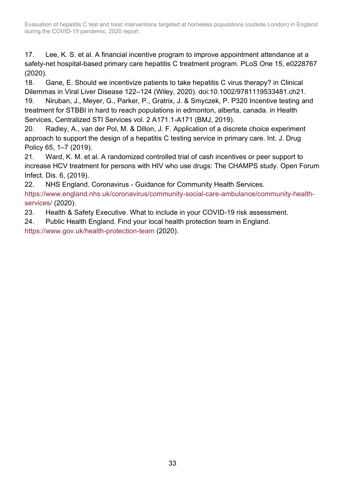17. Lee, K. S. et al. A financial incentive program to improve appointment attendance at a safety-net hospital-based primary care hepatitis C treatment program. PLoS One 15, e0228767 (2020).

18. Gane, E. Should we incentivize patients to take hepatitis C virus therapy? in Clinical Dilemmas in Viral Liver Disease 122–124 (Wiley, 2020). doi:10.1002/9781119533481.ch21.

19. Niruban, J., Meyer, G., Parker, P., Gratrix, J. & Smyczek, P. P320 Incentive testing and treatment for STBBI in hard to reach populations in edmonton, alberta, canada. in Health Services, Centralized STI Services vol. 2 A171.1-A171 (BMJ, 2019).

20. Radley, A., van der Pol, M. & Dillon, J. F. Application of a discrete choice experiment approach to support the design of a hepatitis C testing service in primary care. Int. J. Drug Policy 65, 1–7 (2019).

21. Ward, K. M. et al. A randomized controlled trial of cash incentives or peer support to increase HCV treatment for persons with HIV who use drugs: The CHAMPS study. Open Forum Infect. Dis. 6, (2019).

22. NHS England. Coronavirus - Guidance for Community Health Services.

[https://www.england.nhs.uk/coronavirus/community-social-care-ambulance/community-health](https://www.england.nhs.uk/coronavirus/community-social-care-ambulance/community-health-services/)[services/](https://www.england.nhs.uk/coronavirus/community-social-care-ambulance/community-health-services/) (2020).

23. Health & Safety Executive. What to include in your COVID-19 risk assessment.

24. Public Health England. Find your local health protection team in England.

<https://www.gov.uk/health-protection-team> (2020).